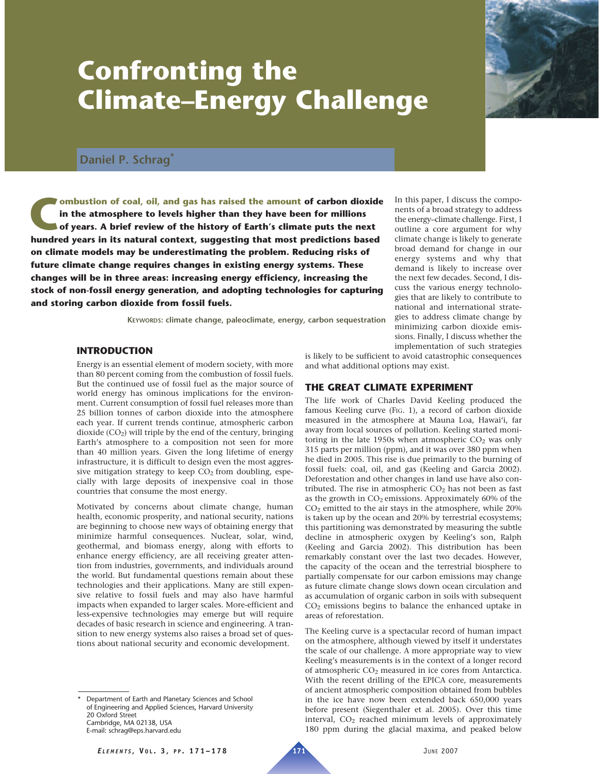# **Confronting the Climate–Energy Challenge**

# **Daniel P. Schrag\***

**Combustion of coal, oil, and gas has raised the amount of carbon dioxide in the atmosphere to levels higher than they have been for millions of years. A brief review of the history of Earth's climate puts the next hundred years in its natural context, suggesting that most predictions based on climate models may be underestimating the problem. Reducing risks of future climate change requires changes in existing energy systems. These changes will be in three areas: increasing energy efficiency, increasing the stock of non-fossil energy generation, and adopting technologies for capturing and storing carbon dioxide from fossil fuels.**

**KEYWORDS: climate change, paleoclimate, energy, carbon sequestration**

#### **INTRODUCTION**

Energy is an essential element of modern society, with more than 80 percent coming from the combustion of fossil fuels. But the continued use of fossil fuel as the major source of world energy has ominous implications for the environment. Current consumption of fossil fuel releases more than 25 billion tonnes of carbon dioxide into the atmosphere each year. If current trends continue, atmospheric carbon dioxide  $(CO_2)$  will triple by the end of the century, bringing Earth's atmosphere to a composition not seen for more than 40 million years. Given the long lifetime of energy infrastructure, it is difficult to design even the most aggressive mitigation strategy to keep  $CO<sub>2</sub>$  from doubling, especially with large deposits of inexpensive coal in those countries that consume the most energy.

Motivated by concerns about climate change, human health, economic prosperity, and national security, nations are beginning to choose new ways of obtaining energy that minimize harmful consequences. Nuclear, solar, wind, geothermal, and biomass energy, along with efforts to enhance energy efficiency, are all receiving greater attention from industries, governments, and individuals around the world. But fundamental questions remain about these technologies and their applications. Many are still expensive relative to fossil fuels and may also have harmful impacts when expanded to larger scales. More-efficient and less-expensive technologies may emerge but will require decades of basic research in science and engineering. A transition to new energy systems also raises a broad set of questions about national security and economic development.

Department of Earth and Planetary Sciences and School of Engineering and Applied Sciences, Harvard University 20 Oxford Street Cambridge, MA 02138, USA E-mail: schrag@eps.harvard.edu

is likely to be sufficient to avoid catastrophic consequences and what additional options may exist.

In this paper, I discuss the components of a broad strategy to address the energy–climate challenge. First, I outline a core argument for why climate change is likely to generate broad demand for change in our energy systems and why that demand is likely to increase over the next few decades. Second, I discuss the various energy technologies that are likely to contribute to national and international strategies to address climate change by minimizing carbon dioxide emissions. Finally, I discuss whether the implementation of such strategies

# **THE GREAT CLIMATE EXPERIMENT**

The life work of Charles David Keeling produced the famous Keeling curve (FIG. 1), a record of carbon dioxide measured in the atmosphere at Mauna Loa, Hawai'i, far away from local sources of pollution. Keeling started monitoring in the late 1950s when atmospheric  $CO<sub>2</sub>$  was only 315 parts per million (ppm), and it was over 380 ppm when he died in 2005. This rise is due primarily to the burning of fossil fuels: coal, oil, and gas (Keeling and Garcia 2002). Deforestation and other changes in land use have also contributed. The rise in atmospheric  $CO<sub>2</sub>$  has not been as fast as the growth in  $CO<sub>2</sub>$  emissions. Approximately 60% of the  $CO<sub>2</sub>$  emitted to the air stays in the atmosphere, while  $20\%$ is taken up by the ocean and 20% by terrestrial ecosystems; this partitioning was demonstrated by measuring the subtle decline in atmospheric oxygen by Keeling's son, Ralph (Keeling and Garcia 2002). This distribution has been remarkably constant over the last two decades. However, the capacity of the ocean and the terrestrial biosphere to partially compensate for our carbon emissions may change as future climate change slows down ocean circulation and as accumulation of organic carbon in soils with subsequent CO2 emissions begins to balance the enhanced uptake in areas of reforestation.

The Keeling curve is a spectacular record of human impact on the atmosphere, although viewed by itself it understates the scale of our challenge. A more appropriate way to view Keeling's measurements is in the context of a longer record of atmospheric CO<sub>2</sub> measured in ice cores from Antarctica. With the recent drilling of the EPICA core, measurements of ancient atmospheric composition obtained from bubbles in the ice have now been extended back 650,000 years before present (Siegenthaler et al. 2005). Over this time interval,  $CO<sub>2</sub>$  reached minimum levels of approximately 180 ppm during the glacial maxima, and peaked below

**171**



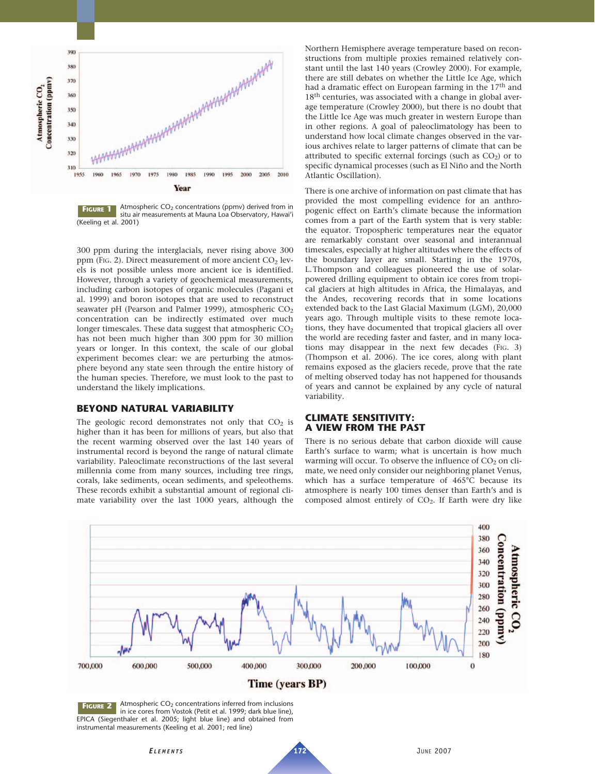

Atmospheric  $CO<sub>2</sub>$  concentrations (ppmv) derived from in situ air measurements at Mauna Loa Observatory, Hawai'i (Keeling et al. 2001) **FIGURE 1**

300 ppm during the interglacials, never rising above 300 ppm (FIG. 2). Direct measurement of more ancient  $CO<sub>2</sub>$  levels is not possible unless more ancient ice is identified. However, through a variety of geochemical measurements, including carbon isotopes of organic molecules (Pagani et al. 1999) and boron isotopes that are used to reconstruct seawater pH (Pearson and Palmer 1999), atmospheric CO<sub>2</sub> concentration can be indirectly estimated over much longer timescales. These data suggest that atmospheric  $CO<sub>2</sub>$ has not been much higher than 300 ppm for 30 million years or longer. In this context, the scale of our global experiment becomes clear: we are perturbing the atmosphere beyond any state seen through the entire history of the human species. Therefore, we must look to the past to understand the likely implications.

### **BEYOND NATURAL VARIABILITY**

The geologic record demonstrates not only that  $CO<sub>2</sub>$  is higher than it has been for millions of years, but also that the recent warming observed over the last 140 years of instrumental record is beyond the range of natural climate variability. Paleoclimate reconstructions of the last several millennia come from many sources, including tree rings, corals, lake sediments, ocean sediments, and speleothems. These records exhibit a substantial amount of regional climate variability over the last 1000 years, although the

Northern Hemisphere average temperature based on reconstructions from multiple proxies remained relatively constant until the last 140 years (Crowley 2000). For example, there are still debates on whether the Little Ice Age, which had a dramatic effect on European farming in the 17<sup>th</sup> and 18<sup>th</sup> centuries, was associated with a change in global average temperature (Crowley 2000), but there is no doubt that the Little Ice Age was much greater in western Europe than in other regions. A goal of paleoclimatology has been to understand how local climate changes observed in the various archives relate to larger patterns of climate that can be attributed to specific external forcings (such as  $CO<sub>2</sub>$ ) or to specific dynamical processes (such as El Niño and the North Atlantic Oscillation).

There is one archive of information on past climate that has provided the most compelling evidence for an anthropogenic effect on Earth's climate because the information comes from a part of the Earth system that is very stable: the equator. Tropospheric temperatures near the equator are remarkably constant over seasonal and interannual timescales, especially at higher altitudes where the effects of the boundary layer are small. Starting in the 1970s, L.Thompson and colleagues pioneered the use of solarpowered drilling equipment to obtain ice cores from tropical glaciers at high altitudes in Africa, the Himalayas, and the Andes, recovering records that in some locations extended back to the Last Glacial Maximum (LGM), 20,000 years ago. Through multiple visits to these remote locations, they have documented that tropical glaciers all over the world are receding faster and faster, and in many locations may disappear in the next few decades (FIG. 3) (Thompson et al. 2006). The ice cores, along with plant remains exposed as the glaciers recede, prove that the rate of melting observed today has not happened for thousands of years and cannot be explained by any cycle of natural variability.

### **CLIMATE SENSITIVITY: A VIEW FROM THE PAST**

There is no serious debate that carbon dioxide will cause Earth's surface to warm; what is uncertain is how much warming will occur. To observe the influence of  $CO<sub>2</sub>$  on climate, we need only consider our neighboring planet Venus, which has a surface temperature of 465°C because its atmosphere is nearly 100 times denser than Earth's and is composed almost entirely of  $CO<sub>2</sub>$ . If Earth were dry like



Atmospheric CO<sub>2</sub> concentrations inferred from inclusions in ice cores from Vostok (Petit et al. 1999; dark blue line), EPICA (Siegenthaler et al. 2005; light blue line) and obtained from instrumental measurements (Keeling et al. 2001; red line) **FIGURE 2**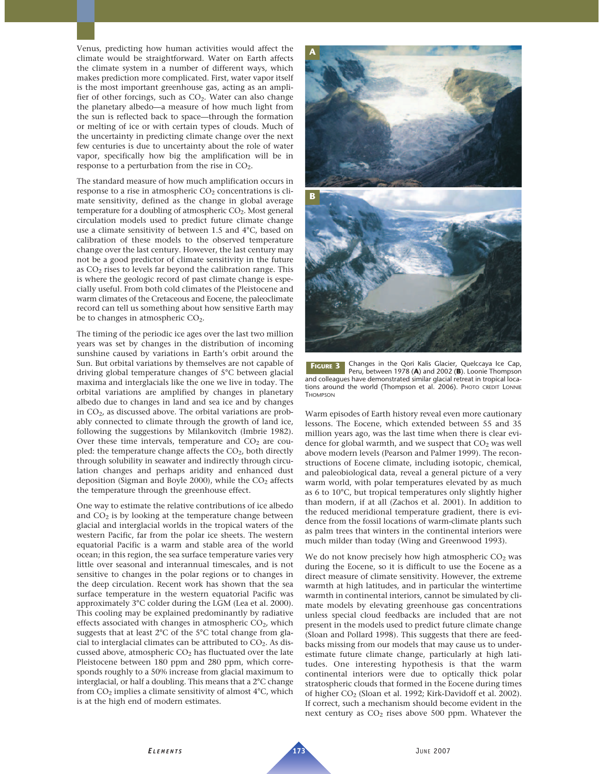Venus, predicting how human activities would affect the climate would be straightforward. Water on Earth affects the climate system in a number of different ways, which makes prediction more complicated. First, water vapor itself is the most important greenhouse gas, acting as an amplifier of other forcings, such as  $CO<sub>2</sub>$ . Water can also change the planetary albedo—a measure of how much light from the sun is reflected back to space—through the formation or melting of ice or with certain types of clouds. Much of the uncertainty in predicting climate change over the next few centuries is due to uncertainty about the role of water vapor, specifically how big the amplification will be in response to a perturbation from the rise in CO2.

The standard measure of how much amplification occurs in response to a rise in atmospheric CO<sub>2</sub> concentrations is climate sensitivity, defined as the change in global average temperature for a doubling of atmospheric  $CO<sub>2</sub>$ . Most general circulation models used to predict future climate change use a climate sensitivity of between 1.5 and 4°C, based on calibration of these models to the observed temperature change over the last century. However, the last century may not be a good predictor of climate sensitivity in the future as  $CO<sub>2</sub>$  rises to levels far beyond the calibration range. This is where the geologic record of past climate change is especially useful. From both cold climates of the Pleistocene and warm climates of the Cretaceous and Eocene, the paleoclimate record can tell us something about how sensitive Earth may be to changes in atmospheric CO<sub>2</sub>.

The timing of the periodic ice ages over the last two million years was set by changes in the distribution of incoming sunshine caused by variations in Earth's orbit around the Sun. But orbital variations by themselves are not capable of driving global temperature changes of 5°C between glacial maxima and interglacials like the one we live in today. The orbital variations are amplified by changes in planetary albedo due to changes in land and sea ice and by changes in CO2, as discussed above. The orbital variations are probably connected to climate through the growth of land ice, following the suggestions by Milankovitch (Imbrie 1982). Over these time intervals, temperature and  $CO<sub>2</sub>$  are coupled: the temperature change affects the  $CO<sub>2</sub>$ , both directly through solubility in seawater and indirectly through circulation changes and perhaps aridity and enhanced dust deposition (Sigman and Boyle 2000), while the  $CO<sub>2</sub>$  affects the temperature through the greenhouse effect.

One way to estimate the relative contributions of ice albedo and  $CO<sub>2</sub>$  is by looking at the temperature change between glacial and interglacial worlds in the tropical waters of the western Pacific, far from the polar ice sheets. The western equatorial Pacific is a warm and stable area of the world ocean; in this region, the sea surface temperature varies very little over seasonal and interannual timescales, and is not sensitive to changes in the polar regions or to changes in the deep circulation. Recent work has shown that the sea surface temperature in the western equatorial Pacific was approximately 3°C colder during the LGM (Lea et al. 2000). This cooling may be explained predominantly by radiative effects associated with changes in atmospheric  $CO<sub>2</sub>$ , which suggests that at least 2°C of the 5°C total change from glacial to interglacial climates can be attributed to  $CO<sub>2</sub>$ . As discussed above, atmospheric  $CO<sub>2</sub>$  has fluctuated over the late Pleistocene between 180 ppm and 280 ppm, which corresponds roughly to a 50% increase from glacial maximum to interglacial, or half a doubling. This means that a 2°C change from  $CO<sub>2</sub>$  implies a climate sensitivity of almost  $4^{\circ}C$ , which is at the high end of modern estimates.



Changes in the Qori Kalis Glacier, Quelccaya Ice Cap, Peru, between 1978 (**A**) and 2002 (**B**). Loonie Thompson and colleagues have demonstrated similar glacial retreat in tropical locations around the world (Thompson et al. 2006). PHOTO CREDIT LONNIE **THOMPSON FIGURE 3**

Warm episodes of Earth history reveal even more cautionary lessons. The Eocene, which extended between 55 and 35 million years ago, was the last time when there is clear evidence for global warmth, and we suspect that  $CO<sub>2</sub>$  was well above modern levels (Pearson and Palmer 1999). The reconstructions of Eocene climate, including isotopic, chemical, and paleobiological data, reveal a general picture of a very warm world, with polar temperatures elevated by as much as 6 to 10°C, but tropical temperatures only slightly higher than modern, if at all (Zachos et al. 2001). In addition to the reduced meridional temperature gradient, there is evidence from the fossil locations of warm-climate plants such as palm trees that winters in the continental interiors were much milder than today (Wing and Greenwood 1993).

We do not know precisely how high atmospheric  $CO<sub>2</sub>$  was during the Eocene, so it is difficult to use the Eocene as a direct measure of climate sensitivity. However, the extreme warmth at high latitudes, and in particular the wintertime warmth in continental interiors, cannot be simulated by climate models by elevating greenhouse gas concentrations unless special cloud feedbacks are included that are not present in the models used to predict future climate change (Sloan and Pollard 1998). This suggests that there are feedbacks missing from our models that may cause us to underestimate future climate change, particularly at high latitudes. One interesting hypothesis is that the warm continental interiors were due to optically thick polar stratospheric clouds that formed in the Eocene during times of higher CO<sub>2</sub> (Sloan et al. 1992; Kirk-Davidoff et al. 2002). If correct, such a mechanism should become evident in the next century as  $CO<sub>2</sub>$  rises above 500 ppm. Whatever the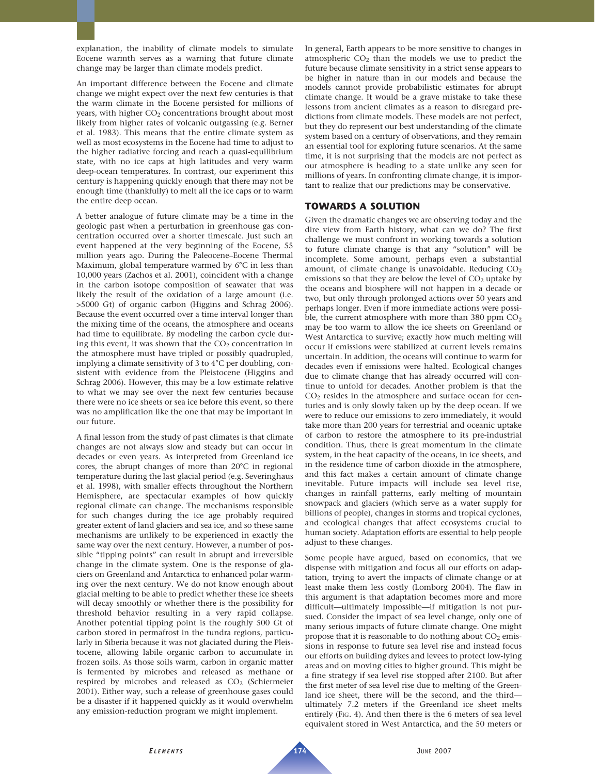explanation, the inability of climate models to simulate Eocene warmth serves as a warning that future climate change may be larger than climate models predict.

An important difference between the Eocene and climate change we might expect over the next few centuries is that the warm climate in the Eocene persisted for millions of years, with higher CO<sub>2</sub> concentrations brought about most likely from higher rates of volcanic outgassing (e.g. Berner et al. 1983). This means that the entire climate system as well as most ecosystems in the Eocene had time to adjust to the higher radiative forcing and reach a quasi-equilibrium state, with no ice caps at high latitudes and very warm deep-ocean temperatures. In contrast, our experiment this century is happening quickly enough that there may not be enough time (thankfully) to melt all the ice caps or to warm the entire deep ocean.

A better analogue of future climate may be a time in the geologic past when a perturbation in greenhouse gas concentration occurred over a shorter timescale. Just such an event happened at the very beginning of the Eocene, 55 million years ago. During the Paleocene–Eocene Thermal Maximum, global temperature warmed by 6°C in less than 10,000 years (Zachos et al. 2001), coincident with a change in the carbon isotope composition of seawater that was likely the result of the oxidation of a large amount (i.e. >5000 Gt) of organic carbon (Higgins and Schrag 2006). Because the event occurred over a time interval longer than the mixing time of the oceans, the atmosphere and oceans had time to equilibrate. By modeling the carbon cycle during this event, it was shown that the  $CO<sub>2</sub>$  concentration in the atmosphere must have tripled or possibly quadrupled, implying a climate sensitivity of 3 to 4°C per doubling, consistent with evidence from the Pleistocene (Higgins and Schrag 2006). However, this may be a low estimate relative to what we may see over the next few centuries because there were no ice sheets or sea ice before this event, so there was no amplification like the one that may be important in our future.

A final lesson from the study of past climates is that climate changes are not always slow and steady but can occur in decades or even years. As interpreted from Greenland ice cores, the abrupt changes of more than 20°C in regional temperature during the last glacial period (e.g. Severinghaus et al. 1998), with smaller effects throughout the Northern Hemisphere, are spectacular examples of how quickly regional climate can change. The mechanisms responsible for such changes during the ice age probably required greater extent of land glaciers and sea ice, and so these same mechanisms are unlikely to be experienced in exactly the same way over the next century. However, a number of possible "tipping points" can result in abrupt and irreversible change in the climate system. One is the response of glaciers on Greenland and Antarctica to enhanced polar warming over the next century. We do not know enough about glacial melting to be able to predict whether these ice sheets will decay smoothly or whether there is the possibility for threshold behavior resulting in a very rapid collapse. Another potential tipping point is the roughly 500 Gt of carbon stored in permafrost in the tundra regions, particularly in Siberia because it was not glaciated during the Pleistocene, allowing labile organic carbon to accumulate in frozen soils. As those soils warm, carbon in organic matter is fermented by microbes and released as methane or respired by microbes and released as CO<sub>2</sub> (Schiermeier 2001). Either way, such a release of greenhouse gases could be a disaster if it happened quickly as it would overwhelm any emission-reduction program we might implement.

In general, Earth appears to be more sensitive to changes in atmospheric  $CO<sub>2</sub>$  than the models we use to predict the future because climate sensitivity in a strict sense appears to be higher in nature than in our models and because the models cannot provide probabilistic estimates for abrupt climate change. It would be a grave mistake to take these lessons from ancient climates as a reason to disregard predictions from climate models. These models are not perfect, but they do represent our best understanding of the climate system based on a century of observations, and they remain an essential tool for exploring future scenarios. At the same time, it is not surprising that the models are not perfect as our atmosphere is heading to a state unlike any seen for millions of years. In confronting climate change, it is important to realize that our predictions may be conservative.

#### **TOWARDS A SOLUTION**

Given the dramatic changes we are observing today and the dire view from Earth history, what can we do? The first challenge we must confront in working towards a solution to future climate change is that any "solution" will be incomplete. Some amount, perhaps even a substantial amount, of climate change is unavoidable. Reducing CO<sub>2</sub> emissions so that they are below the level of  $CO<sub>2</sub>$  uptake by the oceans and biosphere will not happen in a decade or two, but only through prolonged actions over 50 years and perhaps longer. Even if more immediate actions were possible, the current atmosphere with more than 380 ppm  $CO<sub>2</sub>$ may be too warm to allow the ice sheets on Greenland or West Antarctica to survive; exactly how much melting will occur if emissions were stabilized at current levels remains uncertain. In addition, the oceans will continue to warm for decades even if emissions were halted. Ecological changes due to climate change that has already occurred will continue to unfold for decades. Another problem is that the  $CO<sub>2</sub>$  resides in the atmosphere and surface ocean for centuries and is only slowly taken up by the deep ocean. If we were to reduce our emissions to zero immediately, it would take more than 200 years for terrestrial and oceanic uptake of carbon to restore the atmosphere to its pre-industrial condition. Thus, there is great momentum in the climate system, in the heat capacity of the oceans, in ice sheets, and in the residence time of carbon dioxide in the atmosphere, and this fact makes a certain amount of climate change inevitable. Future impacts will include sea level rise, changes in rainfall patterns, early melting of mountain snowpack and glaciers (which serve as a water supply for billions of people), changes in storms and tropical cyclones, and ecological changes that affect ecosystems crucial to human society. Adaptation efforts are essential to help people adjust to these changes.

Some people have argued, based on economics, that we dispense with mitigation and focus all our efforts on adaptation, trying to avert the impacts of climate change or at least make them less costly (Lomborg 2004). The flaw in this argument is that adaptation becomes more and more difficult—ultimately impossible—if mitigation is not pursued. Consider the impact of sea level change, only one of many serious impacts of future climate change. One might propose that it is reasonable to do nothing about  $CO<sub>2</sub>$  emissions in response to future sea level rise and instead focus our efforts on building dykes and levees to protect low-lying areas and on moving cities to higher ground. This might be a fine strategy if sea level rise stopped after 2100. But after the first meter of sea level rise due to melting of the Greenland ice sheet, there will be the second, and the third ultimately 7.2 meters if the Greenland ice sheet melts entirely (FIG. 4). And then there is the 6 meters of sea level equivalent stored in West Antarctica, and the 50 meters or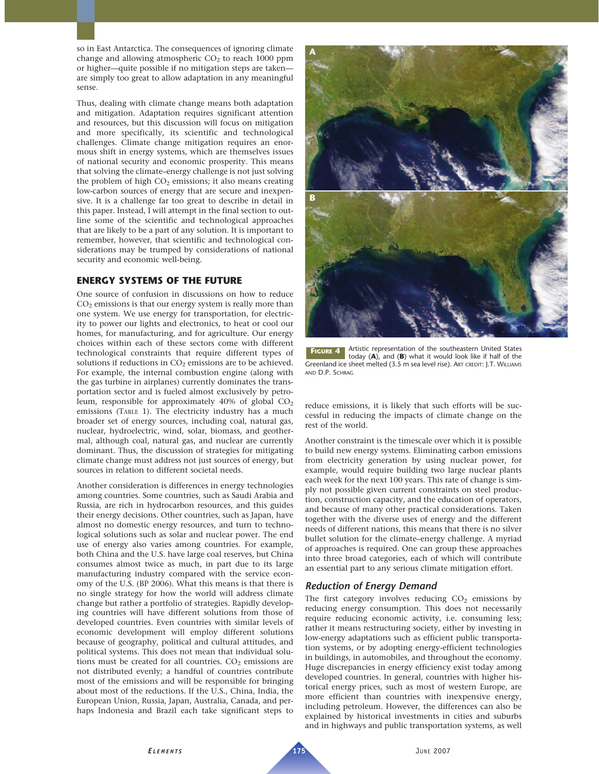so in East Antarctica. The consequences of ignoring climate change and allowing atmospheric  $CO<sub>2</sub>$  to reach 1000 ppm or higher—quite possible if no mitigation steps are taken are simply too great to allow adaptation in any meaningful sense.

Thus, dealing with climate change means both adaptation and mitigation. Adaptation requires significant attention and resources, but this discussion will focus on mitigation and more specifically, its scientific and technological challenges. Climate change mitigation requires an enormous shift in energy systems, which are themselves issues of national security and economic prosperity. This means that solving the climate–energy challenge is not just solving the problem of high  $CO<sub>2</sub>$  emissions; it also means creating low-carbon sources of energy that are secure and inexpensive. It is a challenge far too great to describe in detail in this paper. Instead, I will attempt in the final section to outline some of the scientific and technological approaches that are likely to be a part of any solution. It is important to remember, however, that scientific and technological considerations may be trumped by considerations of national security and economic well-being.

#### **ENERGY SYSTEMS OF THE FUTURE**

One source of confusion in discussions on how to reduce  $CO<sub>2</sub>$  emissions is that our energy system is really more than one system. We use energy for transportation, for electricity to power our lights and electronics, to heat or cool our homes, for manufacturing, and for agriculture. Our energy choices within each of these sectors come with different technological constraints that require different types of solutions if reductions in  $CO<sub>2</sub>$  emissions are to be achieved. For example, the internal combustion engine (along with the gas turbine in airplanes) currently dominates the transportation sector and is fueled almost exclusively by petroleum, responsible for approximately 40% of global  $CO<sub>2</sub>$ emissions (TABLE 1). The electricity industry has a much broader set of energy sources, including coal, natural gas, nuclear, hydroelectric, wind, solar, biomass, and geothermal, although coal, natural gas, and nuclear are currently dominant. Thus, the discussion of strategies for mitigating climate change must address not just sources of energy, but sources in relation to different societal needs.

Another consideration is differences in energy technologies among countries. Some countries, such as Saudi Arabia and Russia, are rich in hydrocarbon resources, and this guides their energy decisions. Other countries, such as Japan, have almost no domestic energy resources, and turn to technological solutions such as solar and nuclear power. The end use of energy also varies among countries. For example, both China and the U.S. have large coal reserves, but China consumes almost twice as much, in part due to its large manufacturing industry compared with the service economy of the U.S. (BP 2006). What this means is that there is no single strategy for how the world will address climate change but rather a portfolio of strategies. Rapidly developing countries will have different solutions from those of developed countries. Even countries with similar levels of economic development will employ different solutions because of geography, political and cultural attitudes, and political systems. This does not mean that individual solutions must be created for all countries.  $CO<sub>2</sub>$  emissions are not distributed evenly; a handful of countries contribute most of the emissions and will be responsible for bringing about most of the reductions. If the U.S., China, India, the European Union, Russia, Japan, Australia, Canada, and perhaps Indonesia and Brazil each take significant steps to



Artistic representation of the southeastern United States today (**A**), and (**B**) what it would look like if half of the Greenland ice sheet melted (3.5 m sea level rise). ART CREDIT: J.T. WILLIAMS AND D.P. SCHRAG **FIGURE 4**

reduce emissions, it is likely that such efforts will be successful in reducing the impacts of climate change on the rest of the world.

Another constraint is the timescale over which it is possible to build new energy systems. Eliminating carbon emissions from electricity generation by using nuclear power, for example, would require building two large nuclear plants each week for the next 100 years. This rate of change is simply not possible given current constraints on steel production, construction capacity, and the education of operators, and because of many other practical considerations. Taken together with the diverse uses of energy and the different needs of different nations, this means that there is no silver bullet solution for the climate–energy challenge. A myriad of approaches is required. One can group these approaches into three broad categories, each of which will contribute an essential part to any serious climate mitigation effort.

## *Reduction of Energy Demand*

The first category involves reducing  $CO<sub>2</sub>$  emissions by reducing energy consumption. This does not necessarily require reducing economic activity, i.e. consuming less; rather it means restructuring society, either by investing in low-energy adaptations such as efficient public transportation systems, or by adopting energy-efficient technologies in buildings, in automobiles, and throughout the economy. Huge discrepancies in energy efficiency exist today among developed countries. In general, countries with higher historical energy prices, such as most of western Europe, are more efficient than countries with inexpensive energy, including petroleum. However, the differences can also be explained by historical investments in cities and suburbs and in highways and public transportation systems, as well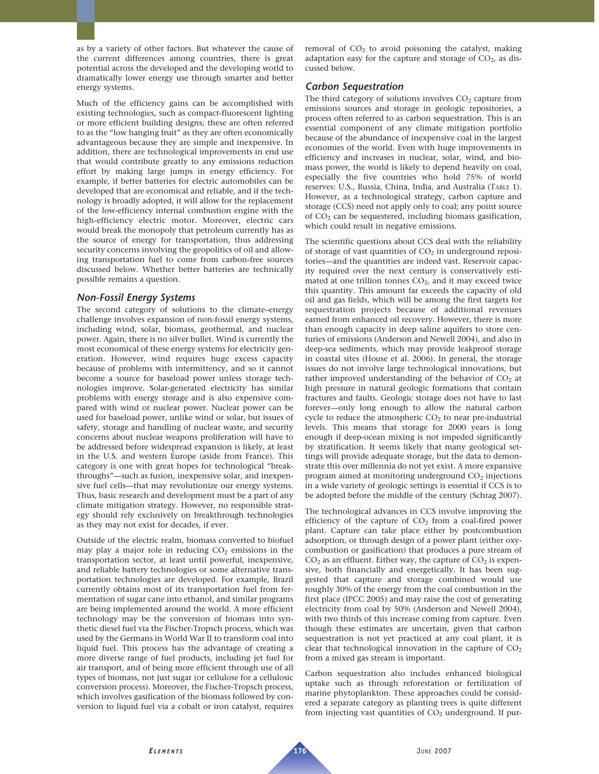as by a variety of other factors. But whatever the cause of the current differences among countries, there is great potential across the developed and the developing world to dramatically lower energy use through smarter and better energy systems.

Much of the efficiency gains can be accomplished with existing technologies, such as compact-fluorescent lighting or more efficient building designs; these are often referred to as the "low hanging fruit" as they are often economically advantageous because they are simple and inexpensive. In addition, there are technological improvements in end use that would contribute greatly to any emissions reduction effort by making large jumps in energy efficiency. For example, if better batteries for electric automobiles can be developed that are economical and reliable, and if the technology is broadly adopted, it will allow for the replacement of the low-efficiency internal combustion engine with the high-efficiency electric motor. Moreover, electric cars would break the monopoly that petroleum currently has as the source of energy for transportation, thus addressing security concerns involving the geopolitics of oil and allowing transportation fuel to come from carbon-free sources discussed below. Whether better batteries are technically possible remains a question.

#### *Non-Fossil Energy Systems*

The second category of solutions to the climate–energy challenge involves expansion of non-fossil energy systems, including wind, solar, biomass, geothermal, and nuclear power. Again, there is no silver bullet. Wind is currently the most economical of these energy systems for electricity generation. However, wind requires huge excess capacity because of problems with intermittency, and so it cannot become a source for baseload power unless storage technologies improve. Solar-generated electricity has similar problems with energy storage and is also expensive compared with wind or nuclear power. Nuclear power can be used for baseload power, unlike wind or solar, but issues of safety, storage and handling of nuclear waste, and security concerns about nuclear weapons proliferation will have to be addressed before widespread expansion is likely, at least in the U.S. and western Europe (aside from France). This category is one with great hopes for technological "breakthroughs"—such as fusion, inexpensive solar, and inexpensive fuel cells—that may revolutionize our energy systems. Thus, basic research and development must be a part of any climate mitigation strategy. However, no responsible strategy should rely exclusively on breakthrough technologies as they may not exist for decades, if ever.

Outside of the electric realm, biomass converted to biofuel may play a major role in reducing  $CO<sub>2</sub>$  emissions in the transportation sector, at least until powerful, inexpensive, and reliable battery technologies or some alternative transportation technologies are developed. For example, Brazil currently obtains most of its transportation fuel from fermentation of sugar cane into ethanol, and similar programs are being implemented around the world. A more efficient technology may be the conversion of biomass into synthetic diesel fuel via the Fischer-Tropsch process, which was used by the Germans in World War II to transform coal into liquid fuel. This process has the advantage of creating a more diverse range of fuel products, including jet fuel for air transport, and of being more efficient through use of all types of biomass, not just sugar (or cellulose for a cellulosic conversion process). Moreover, the Fischer-Tropsch process, which involves gasification of the biomass followed by conversion to liquid fuel via a cobalt or iron catalyst, requires

removal of  $CO<sub>2</sub>$  to avoid poisoning the catalyst, making adaptation easy for the capture and storage of  $CO<sub>2</sub>$ , as discussed below.

## *Carbon Sequestration*

The third category of solutions involves  $CO<sub>2</sub>$  capture from emissions sources and storage in geologic repositories, a process often referred to as carbon sequestration. This is an essential component of any climate mitigation portfolio because of the abundance of inexpensive coal in the largest economies of the world. Even with huge improvements in efficiency and increases in nuclear, solar, wind, and biomass power, the world is likely to depend heavily on coal, especially the five countries who hold 75% of world reserves: U.S., Russia, China, India, and Australia (TABLE 1). However, as a technological strategy, carbon capture and storage (CCS) need not apply only to coal; any point source of  $CO<sub>2</sub>$  can be sequestered, including biomass gasification, which could result in negative emissions.

The scientific questions about CCS deal with the reliability of storage of vast quantities of  $CO<sub>2</sub>$  in underground repositories—and the quantities are indeed vast. Reservoir capacity required over the next century is conservatively estimated at one trillion tonnes  $CO<sub>2</sub>$ , and it may exceed twice this quantity. This amount far exceeds the capacity of old oil and gas fields, which will be among the first targets for sequestration projects because of additional revenues earned from enhanced oil recovery. However, there is more than enough capacity in deep saline aquifers to store centuries of emissions (Anderson and Newell 2004), and also in deep-sea sediments, which may provide leakproof storage in coastal sites (House et al. 2006). In general, the storage issues do not involve large technological innovations, but rather improved understanding of the behavior of  $CO<sub>2</sub>$  at high pressure in natural geologic formations that contain fractures and faults. Geologic storage does not have to last forever—only long enough to allow the natural carbon cycle to reduce the atmospheric  $CO<sub>2</sub>$  to near pre-industrial levels. This means that storage for 2000 years is long enough if deep-ocean mixing is not impeded significantly by stratification. It seems likely that many geological settings will provide adequate storage, but the data to demonstrate this over millennia do not yet exist. A more expansive program aimed at monitoring underground  $CO<sub>2</sub>$  injections in a wide variety of geologic settings is essential if CCS is to be adopted before the middle of the century (Schrag 2007).

The technological advances in CCS involve improving the efficiency of the capture of  $CO<sub>2</sub>$  from a coal-fired power plant. Capture can take place either by postcombustion adsorption, or through design of a power plant (either oxycombustion or gasification) that produces a pure stream of  $CO<sub>2</sub>$  as an effluent. Either way, the capture of  $CO<sub>2</sub>$  is expensive, both financially and energetically. It has been suggested that capture and storage combined would use roughly 30% of the energy from the coal combustion in the first place (IPCC 2005) and may raise the cost of generating electricity from coal by 50% (Anderson and Newell 2004), with two thirds of this increase coming from capture. Even though these estimates are uncertain, given that carbon sequestration is not yet practiced at any coal plant, it is clear that technological innovation in the capture of  $CO<sub>2</sub>$ from a mixed gas stream is important.

Carbon sequestration also includes enhanced biological uptake such as through reforestation or fertilization of marine phytoplankton. These approaches could be considered a separate category as planting trees is quite different from injecting vast quantities of  $CO<sub>2</sub>$  underground. If pur-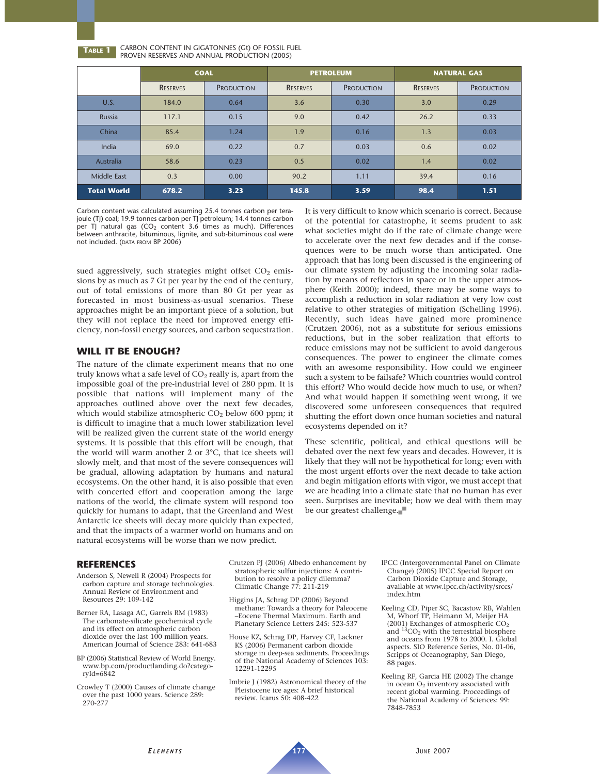**TABLE 1**

CARBON CONTENT IN GIGATONNES (Gt) OF FOSSIL FUEL PROVEN RESERVES AND ANNUAL PRODUCTION (2005)

|                    | <b>COAL</b>     |            | <b>PETROLEUM</b> |            | <b>NATURAL GAS</b> |                   |
|--------------------|-----------------|------------|------------------|------------|--------------------|-------------------|
|                    | <b>RESERVES</b> | PRODUCTION | <b>RESERVES</b>  | PRODUCTION | <b>RESERVES</b>    | <b>PRODUCTION</b> |
| U.S.               | 184.0           | 0.64       | 3.6              | 0.30       | 3.0                | 0.29              |
| Russia             | 117.1           | 0.15       | 9.0              | 0.42       | 26.2               | 0.33              |
| China              | 85.4            | 1.24       | 1.9              | 0.16       | 1.3                | 0.03              |
| India              | 69.0            | 0.22       | 0.7              | 0.03       | 0.6                | 0.02              |
| Australia          | 58.6            | 0.23       | 0.5              | 0.02       | 1.4                | 0.02              |
| <b>Middle East</b> | 0.3             | 0.00       | 90.2             | 1.11       | 39.4               | 0.16              |
| <b>Total World</b> | 678.2           | 3.23       | 145.8            | 3.59       | 98.4               | 1.51              |

Carbon content was calculated assuming 25.4 tonnes carbon per terajoule (TJ) coal; 19.9 tonnes carbon per TJ petroleum; 14.4 tonnes carbon per TJ natural gas  $(CO<sub>2</sub>$  content 3.6 times as much). Differences between anthracite, bituminous, lignite, and sub-bituminous coal were not included. (DATA FROM BP 2006)

sued aggressively, such strategies might offset  $CO<sub>2</sub>$  emissions by as much as 7 Gt per year by the end of the century, out of total emissions of more than 80 Gt per year as forecasted in most business-as-usual scenarios. These approaches might be an important piece of a solution, but they will not replace the need for improved energy efficiency, non-fossil energy sources, and carbon sequestration.

#### **WILL IT BE ENOUGH?**

The nature of the climate experiment means that no one truly knows what a safe level of  $CO<sub>2</sub>$  really is, apart from the impossible goal of the pre-industrial level of 280 ppm. It is possible that nations will implement many of the approaches outlined above over the next few decades, which would stabilize atmospheric  $CO<sub>2</sub>$  below 600 ppm; it is difficult to imagine that a much lower stabilization level will be realized given the current state of the world energy systems. It is possible that this effort will be enough, that the world will warm another 2 or 3°C, that ice sheets will slowly melt, and that most of the severe consequences will be gradual, allowing adaptation by humans and natural ecosystems. On the other hand, it is also possible that even with concerted effort and cooperation among the large nations of the world, the climate system will respond too quickly for humans to adapt, that the Greenland and West Antarctic ice sheets will decay more quickly than expected, and that the impacts of a warmer world on humans and on natural ecosystems will be worse than we now predict.

#### It is very difficult to know which scenario is correct. Because of the potential for catastrophe, it seems prudent to ask what societies might do if the rate of climate change were to accelerate over the next few decades and if the consequences were to be much worse than anticipated. One approach that has long been discussed is the engineering of our climate system by adjusting the incoming solar radiation by means of reflectors in space or in the upper atmosphere (Keith 2000); indeed, there may be some ways to accomplish a reduction in solar radiation at very low cost relative to other strategies of mitigation (Schelling 1996). Recently, such ideas have gained more prominence (Crutzen 2006), not as a substitute for serious emissions reductions, but in the sober realization that efforts to reduce emissions may not be sufficient to avoid dangerous consequences. The power to engineer the climate comes with an awesome responsibility. How could we engineer such a system to be failsafe? Which countries would control this effort? Who would decide how much to use, or when? And what would happen if something went wrong, if we discovered some unforeseen consequences that required shutting the effort down once human societies and natural ecosystems depended on it?

These scientific, political, and ethical questions will be debated over the next few years and decades. However, it is likely that they will not be hypothetical for long; even with the most urgent efforts over the next decade to take action and begin mitigation efforts with vigor, we must accept that we are heading into a climate state that no human has ever seen. Surprises are inevitable; how we deal with them may be our greatest challenge.

#### **REFERENCES**

- Anderson S, Newell R (2004) Prospects for carbon capture and storage technologies. Annual Review of Environment and Resources 29: 109-142
- Berner RA, Lasaga AC, Garrels RM (1983) The carbonate-silicate geochemical cycle and its effect on atmospheric carbon dioxide over the last 100 million years. American Journal of Science 283: 641-683
- BP (2006) Statistical Review of World Energy. www.bp.com/productlanding.do?categoryId=6842
- Crowley T (2000) Causes of climate change over the past 1000 years. Science 289: 270-277
- Crutzen PJ (2006) Albedo enhancement by stratospheric sulfur injections: A contribution to resolve a policy dilemma? Climatic Change 77: 211-219
- Higgins JA, Schrag DP (2006) Beyond methane: Towards a theory for Paleocene –Eocene Thermal Maximum. Earth and Planetary Science Letters 245: 523-537
- House KZ, Schrag DP, Harvey CF, Lackner KS (2006) Permanent carbon dioxide storage in deep-sea sediments. Proceedings of the National Academy of Sciences 103: 12291-12295
- Imbrie J (1982) Astronomical theory of the Pleistocene ice ages: A brief historical review. Icarus 50: 408-422
- IPCC (Intergovernmental Panel on Climate Change) (2005) IPCC Special Report on Carbon Dioxide Capture and Storage, available at www.ipcc.ch/activity/srccs/ index.htm
- Keeling CD, Piper SC, Bacastow RB, Wahlen M, Whorf TP, Heimann M, Meijer HA (2001) Exchanges of atmospheric CO2 and  ${}^{13}CO_2$  with the terrestrial biosphere and oceans from 1978 to 2000. I. Global aspects. SIO Reference Series, No. 01-06, Scripps of Oceanography, San Diego, 88 pages.
- Keeling RF, Garcia HE (2002) The change in ocean O<sub>2</sub> inventory associated with recent global warming. Proceedings of the National Academy of Sciences: 99: 7848-7853